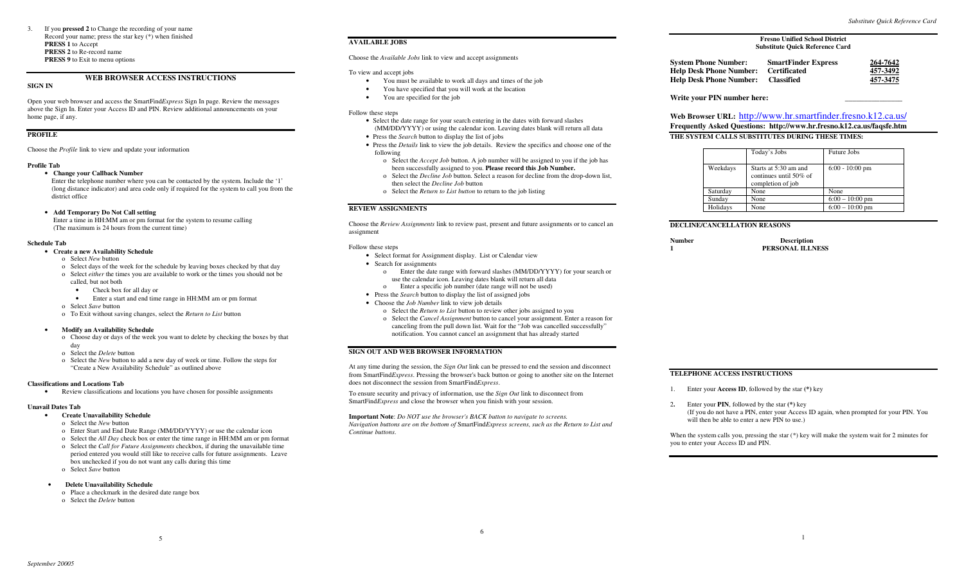## **WEB BROWSER ACCESS INSTRUCTIONS**

#### **SIGN IN**

Open your web browser and access the SmartFind*Express* Sign In page. Review the messages above the Sign In. Enter your Access ID and PIN. Review additional announcements on your home page, if any.

### **PROFILE**

Choose the *Profile* link to view and update your information

#### **Profile Tab**

### • **Change your Callback Number**

 Enter the telephone number where you can be contacted by the system. Include the '1' (long distance indicator) and area code only if required for the system to call you from the district office

#### • **Add Temporary Do Not Call setting**

 Enter a time in HH:MM am or pm format for the system to resume calling (The maximum is 24 hours from the current time)

### **Schedule Tab**

#### • **Create a new Availability Schedule**

- o Select *New* button
- o Select days of the week for the schedule by leaving boxes checked by that day
- o Select *either* the times you are available to work or the times you should not be called, but not both

• Check box for all day or

- Enter a start and end time range in HH:MM am or pm format
- o Select *Save* button
- o To Exit without saving changes, select the *Return to List* button

#### • **Modify an Availability Schedule**

- o Choose day or days of the week you want to delete by checking the boxes by that day
- o Select the *Delete* button
- o Select the *New* button to add a new day of week or time. Follow the steps for "Create a New Availability Schedule" as outlined above

#### **Classifications and Locations Tab**

• Review classifications and locations you have chosen for possible assignments

5

#### **Unavail Dates Tab**

### • **Create Unavailability Schedule**

- o Select the *New* button
- o Enter Start and End Date Range (MM/DD/YYYY) or use the calendar icon
- o Select the *All Day* check box or enter the time range in HH:MM am or pm format
- o Select the *Call for Future Assignments* checkbox, if during the unavailable time period entered you would still like to receive calls for future assignments. Leave box unchecked if you do not want any calls during this time
- o Select *Save* button

#### • **Delete Unavailability Schedule**

- o Place a checkmark in the desired date range box
- o Select the *Delete* button

### **AVAILABLE JOBS**

Choose the *Available Jobs* link to view and accept assignments

### To view and accept jobs

- You must be available to work all days and times of the job
- You have specified that you will work at the location
- You are specified for the job

#### Follow these steps

- Select the date range for your search entering in the dates with forward slashes (MM/DD/YYYY) or using the calendar icon. Leaving dates blank will return all data
- Press the *Search* button to display the list of jobs
- Press the *Details* link to view the job details. Review the specifics and choose one of the following
	- o Select the *Accept Job* button. A job number will be assigned to you if the job has been successfully assigned to you. **Please record this Job Number.**
	- o Select the *Decline Job* button. Select a reason for decline from the drop-down list, then select the *Decline Job* button
- o Select the *Return to List button* to return to the job listing

### **REVIEW ASSIGNMENTS**

Choose the *Review Assignments* link to review past, present and future assignments or to cancel an assignment

#### Follow these steps

- Select format for Assignment display. List or Calendar view
- Search for assignments
	- o Enter the date range with forward slashes (MM/DD/YYYY) for your search or use the calendar icon. Leaving dates blank will return all data
	- o Enter a specific job number (date range will not be used)
- Press the *Search* button to display the list of assigned jobs
- Choose the *Job Number* link to view job details
	- o Select the *Return to List* button to review other jobs assigned to you o Select the *Cancel Assignment* button to cancel your assignment. Enter a reason for
	- canceling from the pull down list. Wait for the "Job was cancelled successfully" notification. You cannot cancel an assignment that has already started

### **SIGN OUT AND WEB BROWSER INFORMATION**

At any time during the session, the *Sign Out* link can be pressed to end the session and disconnect from SmartFind*Express*. Pressing the browser's back button or going to another site on the Internet does not disconnect the session from SmartFind*Express*.

To ensure security and privacy of information, use the *Sign Out* link to disconnect from SmartFind*Express* and close the browser when you finish with your session.

**Important Note**: *Do NOT use the browser's BACK button to navigate to screens. Navigation buttons are on the bottom of* SmartFind*Express screens, such as the Return to List and Continue buttons.* 

### **System Phone Number: SmartFinder Express 264-7642Help Desk Phone Number: Certificated Help Desk Phone Number: Classified**



Write your PIN number here:

**Web Browser URL:** http://www.hr.smartfinder.fresno.k12.ca.us/ **Frequently Asked Questions: http://www.hr.fresno.k12.ca.us/faqsfe.htm THE SYSTEM CALLS SUBSTITUTES DURING THESE TIMES:** 

|          | Today's Jobs                                                         | Future Jobs       |
|----------|----------------------------------------------------------------------|-------------------|
| Weekdays | Starts at 5:30 am and<br>continues until 50% of<br>completion of job | $6:00 - 10:00$ pm |
| Saturday | None                                                                 | None              |
| Sunday   | None                                                                 | $6:00 - 10:00$ pm |
| Holidays | None                                                                 | $6:00 - 10:00$ pm |

### **DECLINE/CANCELLATION REASONS**

| Number | <b>Description</b> |
|--------|--------------------|
|        | PERSONAL ILLNESS   |

#### **TELEPHONE ACCESS INSTRUCTIONS**

- 1. Enter your **Access ID**, followed by the star **(\*)** key
- 2**.** Enter your **PIN**, followed by the star **(\*)** key (If you do not have a PIN, enter your Access ID again, when prompted for your PIN. You will then be able to enter a new PIN to use.)

When the system calls you, pressing the star (\*) key will make the system wait for 2 minutes for you to enter your Access ID and PIN.

*Substitute Quick Reference Card*